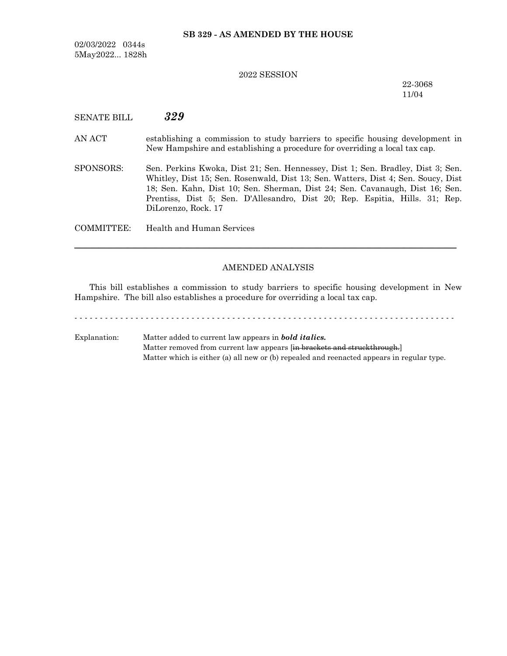### **SB 329 - AS AMENDED BY THE HOUSE**

02/03/2022 0344s 5May2022... 1828h

### 2022 SESSION

22-3068 11/04

# SENATE BILL *329*

- AN ACT establishing a commission to study barriers to specific housing development in New Hampshire and establishing a procedure for overriding a local tax cap.
- SPONSORS: Sen. Perkins Kwoka, Dist 21; Sen. Hennessey, Dist 1; Sen. Bradley, Dist 3; Sen. Whitley, Dist 15; Sen. Rosenwald, Dist 13; Sen. Watters, Dist 4; Sen. Soucy, Dist 18; Sen. Kahn, Dist 10; Sen. Sherman, Dist 24; Sen. Cavanaugh, Dist 16; Sen. Prentiss, Dist 5; Sen. D'Allesandro, Dist 20; Rep. Espitia, Hills. 31; Rep. DiLorenzo, Rock. 17

COMMITTEE: Health and Human Services

### AMENDED ANALYSIS

─────────────────────────────────────────────────────────────────

This bill establishes a commission to study barriers to specific housing development in New Hampshire. The bill also establishes a procedure for overriding a local tax cap.

- - - - - - - - - - - - - - - - - - - - - - - - - - - - - - - - - - - - - - - - - - - - - - - - - - - - - - - - - - - - - - - - - - - - - - - - - - -

Explanation: Matter added to current law appears in *bold italics.* Matter removed from current law appears [in brackets and struckthrough.] Matter which is either (a) all new or (b) repealed and reenacted appears in regular type.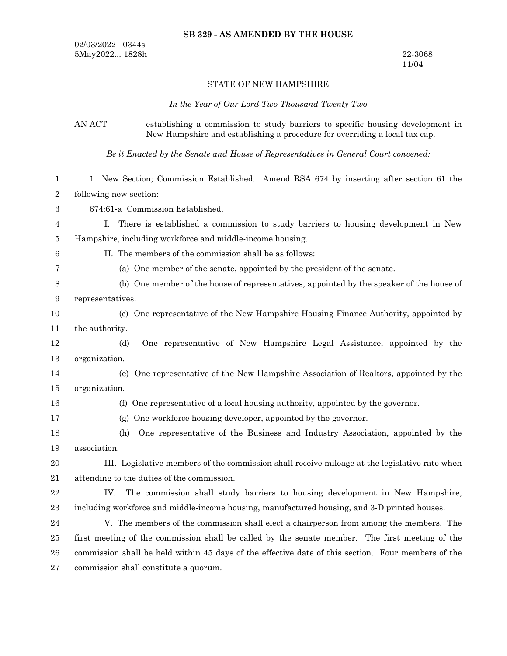### **SB 329 - AS AMENDED BY THE HOUSE**

02/03/2022 0344s 5May2022... 1828h 22-3068

11/04

### STATE OF NEW HAMPSHIRE

*In the Year of Our Lord Two Thousand Twenty Two*

## AN ACT establishing a commission to study barriers to specific housing development in New Hampshire and establishing a procedure for overriding a local tax cap.

*Be it Enacted by the Senate and House of Representatives in General Court convened:*

| 1                | 1 New Section; Commission Established. Amend RSA 674 by inserting after section 61 the             |
|------------------|----------------------------------------------------------------------------------------------------|
| $\boldsymbol{2}$ | following new section:                                                                             |
| 3                | 674:61-a Commission Established.                                                                   |
| 4                | L.<br>There is established a commission to study barriers to housing development in New            |
| 5                | Hampshire, including workforce and middle-income housing.                                          |
| 6                | II. The members of the commission shall be as follows:                                             |
| 7                | (a) One member of the senate, appointed by the president of the senate.                            |
| 8                | (b) One member of the house of representatives, appointed by the speaker of the house of           |
| 9                | representatives.                                                                                   |
| 10               | (c) One representative of the New Hampshire Housing Finance Authority, appointed by                |
| 11               | the authority.                                                                                     |
| 12               | One representative of New Hampshire Legal Assistance, appointed by the<br>(d)                      |
| 13               | organization.                                                                                      |
| 14               | One representative of the New Hampshire Association of Realtors, appointed by the<br>(e)           |
| 15               | organization.                                                                                      |
| 16               | (f) One representative of a local housing authority, appointed by the governor.                    |
| 17               | (g) One workforce housing developer, appointed by the governor.                                    |
| 18               | One representative of the Business and Industry Association, appointed by the<br>(h)               |
| 19               | association.                                                                                       |
| 20               | III. Legislative members of the commission shall receive mileage at the legislative rate when      |
| 21               | attending to the duties of the commission.                                                         |
| 22               | The commission shall study barriers to housing development in New Hampshire,<br>IV.                |
| 23               | including workforce and middle-income housing, manufactured housing, and 3-D printed houses.       |
| 24               | V. The members of the commission shall elect a chairperson from among the members. The             |
| 25               | first meeting of the commission shall be called by the senate member. The first meeting of the     |
| 26               | commission shall be held within 45 days of the effective date of this section. Four members of the |
| 27               | commission shall constitute a quorum.                                                              |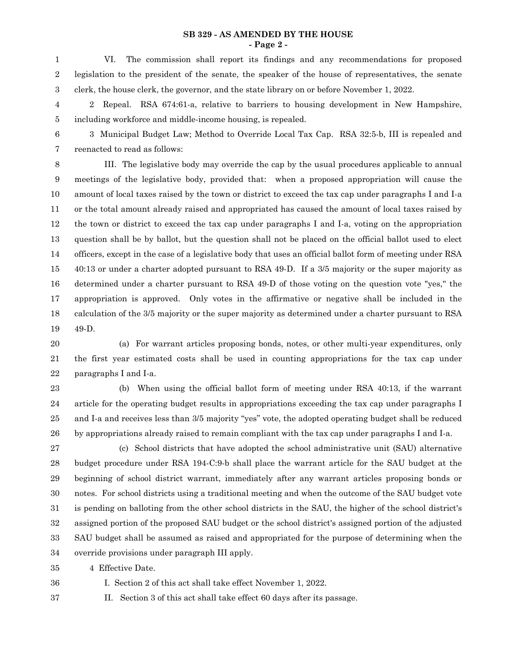#### **SB 329 - AS AMENDED BY THE HOUSE - Page 2 -**

VI. The commission shall report its findings and any recommendations for proposed legislation to the president of the senate, the speaker of the house of representatives, the senate clerk, the house clerk, the governor, and the state library on or before November 1, 2022. 1 2 3

2 Repeal. RSA 674:61-a, relative to barriers to housing development in New Hampshire, including workforce and middle-income housing, is repealed. 4 5

3 Municipal Budget Law; Method to Override Local Tax Cap. RSA 32:5-b, III is repealed and reenacted to read as follows: 6 7

III. The legislative body may override the cap by the usual procedures applicable to annual meetings of the legislative body, provided that: when a proposed appropriation will cause the amount of local taxes raised by the town or district to exceed the tax cap under paragraphs I and I-a or the total amount already raised and appropriated has caused the amount of local taxes raised by the town or district to exceed the tax cap under paragraphs I and I-a, voting on the appropriation question shall be by ballot, but the question shall not be placed on the official ballot used to elect officers, except in the case of a legislative body that uses an official ballot form of meeting under RSA 40:13 or under a charter adopted pursuant to RSA 49-D. If a 3/5 majority or the super majority as determined under a charter pursuant to RSA 49-D of those voting on the question vote "yes,'' the appropriation is approved. Only votes in the affirmative or negative shall be included in the calculation of the 3/5 majority or the super majority as determined under a charter pursuant to RSA 49-D. 8 9 10 11 12 13 14 15 16 17 18 19

(a) For warrant articles proposing bonds, notes, or other multi-year expenditures, only the first year estimated costs shall be used in counting appropriations for the tax cap under paragraphs I and I-a. 20 21 22

(b) When using the official ballot form of meeting under RSA 40:13, if the warrant article for the operating budget results in appropriations exceeding the tax cap under paragraphs I and I-a and receives less than 3/5 majority "yes" vote, the adopted operating budget shall be reduced by appropriations already raised to remain compliant with the tax cap under paragraphs I and I-a. 23 24 25 26

(c) School districts that have adopted the school administrative unit (SAU) alternative budget procedure under RSA 194-C:9-b shall place the warrant article for the SAU budget at the beginning of school district warrant, immediately after any warrant articles proposing bonds or notes. For school districts using a traditional meeting and when the outcome of the SAU budget vote is pending on balloting from the other school districts in the SAU, the higher of the school district's assigned portion of the proposed SAU budget or the school district's assigned portion of the adjusted SAU budget shall be assumed as raised and appropriated for the purpose of determining when the override provisions under paragraph III apply. 27 28 29 30 31 32 33 34

4 Effective Date. 35

36

I. Section 2 of this act shall take effect November 1, 2022.

II. Section 3 of this act shall take effect 60 days after its passage. 37